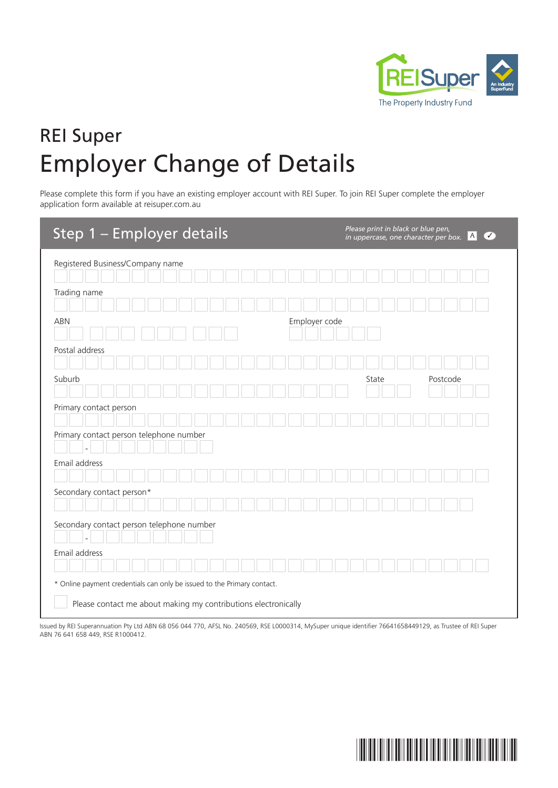

## REI Super Employer Change of Details

Please complete this form if you have an existing employer account with REI Super. To join REI Super complete the employer application form available at reisuper.com.au

| Step 1 - Employer details                                                                                                                 | Please print in black or blue pen,<br> A <br>$\sqrt{}$<br>in uppercase, one character per box. |
|-------------------------------------------------------------------------------------------------------------------------------------------|------------------------------------------------------------------------------------------------|
| Registered Business/Company name                                                                                                          |                                                                                                |
| Trading name                                                                                                                              |                                                                                                |
| <b>ABN</b>                                                                                                                                | Employer code                                                                                  |
| Postal address                                                                                                                            |                                                                                                |
| Suburb                                                                                                                                    | State<br>Postcode                                                                              |
| Primary contact person                                                                                                                    |                                                                                                |
| Primary contact person telephone number                                                                                                   |                                                                                                |
| Email address                                                                                                                             |                                                                                                |
| Secondary contact person*                                                                                                                 |                                                                                                |
| Secondary contact person telephone number                                                                                                 |                                                                                                |
| Email address                                                                                                                             |                                                                                                |
|                                                                                                                                           |                                                                                                |
| * Online payment credentials can only be issued to the Primary contact.<br>Please contact me about making my contributions electronically |                                                                                                |

Issued by REI Superannuation Pty Ltd ABN 68 056 044 770, AFSL No. 240569, RSE L0000314, MySuper unique identifier 76641658449129, as Trustee of REI Super ABN 76 641 658 449, RSE R1000412.